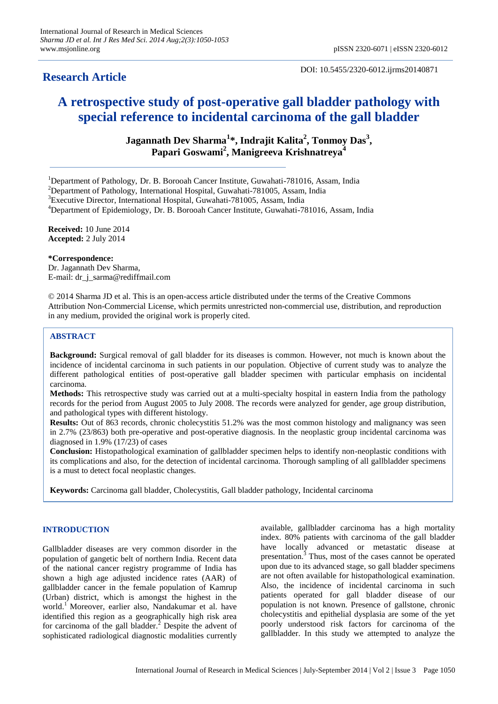# **Research Article**

DOI: 10.5455/2320-6012.ijrms20140871

# **A retrospective study of post-operative gall bladder pathology with special reference to incidental carcinoma of the gall bladder**

**Jagannath Dev Sharma<sup>1</sup> \*, Indrajit Kalita<sup>2</sup> , Tonmoy Das<sup>3</sup> , Papari Goswami<sup>2</sup> , Manigreeva Krishnatreya<sup>4</sup>**

<sup>1</sup>Department of Pathology, Dr. B. Borooah Cancer Institute, Guwahati-781016, Assam, India

<sup>2</sup>Department of Pathology, International Hospital, Guwahati-781005, Assam, India

<sup>3</sup>Executive Director, International Hospital, Guwahati-781005, Assam, India

<sup>4</sup>Department of Epidemiology, Dr. B. Borooah Cancer Institute, Guwahati-781016, Assam, India

**Received:** 10 June 2014 **Accepted:** 2 July 2014

**\*Correspondence:**

Dr. Jagannath Dev Sharma, E-mail: dr\_j\_sarma@rediffmail.com

© 2014 Sharma JD et al. This is an open-access article distributed under the terms of the Creative Commons Attribution Non-Commercial License, which permits unrestricted non-commercial use, distribution, and reproduction in any medium, provided the original work is properly cited.

## **ABSTRACT**

**Background:** Surgical removal of gall bladder for its diseases is common. However, not much is known about the incidence of incidental carcinoma in such patients in our population. Objective of current study was to analyze the different pathological entities of post-operative gall bladder specimen with particular emphasis on incidental carcinoma.

**Methods:** This retrospective study was carried out at a multi-specialty hospital in eastern India from the pathology records for the period from August 2005 to July 2008. The records were analyzed for gender, age group distribution, and pathological types with different histology.

**Results:** Out of 863 records, chronic cholecystitis 51.2% was the most common histology and malignancy was seen in 2.7% (23/863) both pre-operative and post-operative diagnosis. In the neoplastic group incidental carcinoma was diagnosed in 1.9% (17/23) of cases

**Conclusion:** Histopathological examination of gallbladder specimen helps to identify non-neoplastic conditions with its complications and also, for the detection of incidental carcinoma. Thorough sampling of all gallbladder specimens is a must to detect focal neoplastic changes.

**Keywords:** Carcinoma gall bladder, Cholecystitis, Gall bladder pathology, Incidental carcinoma

# **INTRODUCTION**

Gallbladder diseases are very common disorder in the population of gangetic belt of northern India. Recent data of the national cancer registry programme of India has shown a high age adjusted incidence rates (AAR) of gallbladder cancer in the female population of Kamrup (Urban) district, which is amongst the highest in the world.<sup>1</sup> Moreover, earlier also, Nandakumar et al. have identified this region as a geographically high risk area for carcinoma of the gall bladder. $<sup>2</sup>$  Despite the advent of</sup> sophisticated radiological diagnostic modalities currently available, gallbladder carcinoma has a high mortality index. 80% patients with carcinoma of the gall bladder have locally advanced or metastatic disease at presentation.<sup>3</sup> Thus, most of the cases cannot be operated upon due to its advanced stage, so gall bladder specimens are not often available for histopathological examination. Also, the incidence of incidental carcinoma in such patients operated for gall bladder disease of our population is not known. Presence of gallstone, chronic cholecystitis and epithelial dysplasia are some of the yet poorly understood risk factors for carcinoma of the gallbladder. In this study we attempted to analyze the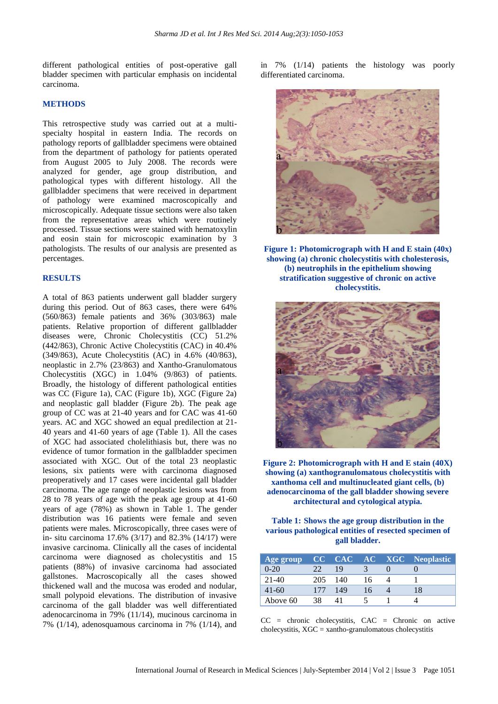different pathological entities of post-operative gall bladder specimen with particular emphasis on incidental carcinoma.

#### **METHODS**

This retrospective study was carried out at a multispecialty hospital in eastern India. The records on pathology reports of gallbladder specimens were obtained from the department of pathology for patients operated from August 2005 to July 2008. The records were analyzed for gender, age group distribution, and pathological types with different histology. All the gallbladder specimens that were received in department of pathology were examined macroscopically and microscopically. Adequate tissue sections were also taken from the representative areas which were routinely processed. Tissue sections were stained with hematoxylin and eosin stain for microscopic examination by 3 pathologists. The results of our analysis are presented as percentages.

### **RESULTS**

A total of 863 patients underwent gall bladder surgery during this period. Out of 863 cases, there were 64% (560/863) female patients and 36% (303/863) male patients. Relative proportion of different gallbladder diseases were, Chronic Cholecystitis (CC) 51.2% (442/863), Chronic Active Cholecystitis (CAC) in 40.4% (349/863), Acute Cholecystitis (AC) in 4.6% (40/863), neoplastic in 2.7% (23/863) and Xantho-Granulomatous Cholecystitis (XGC) in 1.04% (9/863) of patients. Broadly, the histology of different pathological entities was CC (Figure 1a), CAC (Figure 1b), XGC (Figure 2a) and neoplastic gall bladder (Figure 2b). The peak age group of CC was at 21-40 years and for CAC was 41-60 years. AC and XGC showed an equal predilection at 21- 40 years and 41-60 years of age (Table 1). All the cases of XGC had associated cholelithiasis but, there was no evidence of tumor formation in the gallbladder specimen associated with XGC. Out of the total 23 neoplastic lesions, six patients were with carcinoma diagnosed preoperatively and 17 cases were incidental gall bladder carcinoma. The age range of neoplastic lesions was from 28 to 78 years of age with the peak age group at 41-60 years of age (78%) as shown in Table 1. The gender distribution was 16 patients were female and seven patients were males. Microscopically, three cases were of in- situ carcinoma 17.6% (3/17) and 82.3% (14/17) were invasive carcinoma. Clinically all the cases of incidental carcinoma were diagnosed as cholecystitis and 15 patients (88%) of invasive carcinoma had associated gallstones. Macroscopically all the cases showed thickened wall and the mucosa was eroded and nodular, small polypoid elevations. The distribution of invasive carcinoma of the gall bladder was well differentiated adenocarcinoma in 79% (11/14), mucinous carcinoma in 7% (1/14), adenosquamous carcinoma in 7% (1/14), and in 7% (1/14) patients the histology was poorly differentiated carcinoma.



**Figure 1: Photomicrograph with H and E stain (40x) showing (a) chronic cholecystitis with cholesterosis, (b) neutrophils in the epithelium showing stratification suggestive of chronic on active cholecystitis.**



**Figure 2: Photomicrograph with H and E stain (40X) showing (a) xanthogranulomatous cholecystitis with xanthoma cell and multinucleated giant cells, (b) adenocarcinoma of the gall bladder showing severe architectural and cytological atypia.**

**Table 1: Shows the age group distribution in the various pathological entities of resected specimen of gall bladder.**

| Age group |     |     |    | <b>CC CAC AC XGC Neoplastic</b> |
|-----------|-----|-----|----|---------------------------------|
| $0 - 20$  |     | 19  |    |                                 |
| $21-40$   | 205 | 140 | 16 |                                 |
| $41 - 60$ | 177 | 149 | 16 | 18                              |
| Above 60  | 38  |     |    |                                 |

 $CC$  = chronic cholecystitis,  $CAC$  = Chronic on active  $cholecystitis, XGC = xantho-gramulomatous cholesterol$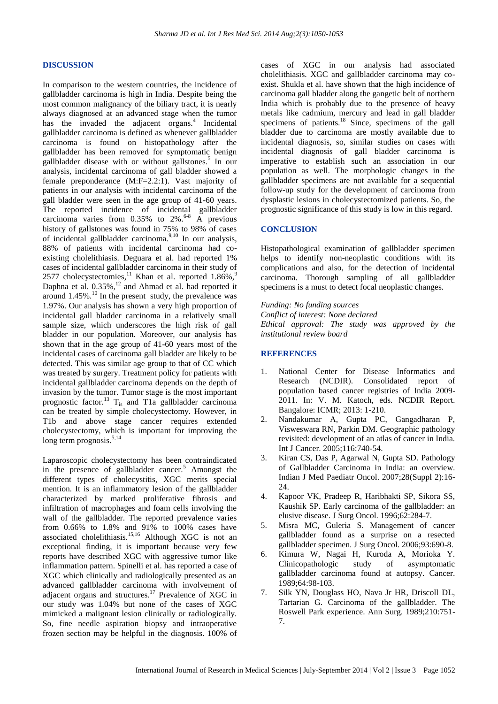#### **DISCUSSION**

In comparison to the western countries, the incidence of gallbladder carcinoma is high in India. Despite being the most common malignancy of the biliary tract, it is nearly always diagnosed at an advanced stage when the tumor has the invaded the adjacent organs.<sup>4</sup> Incidental gallbladder carcinoma is defined as whenever gallbladder carcinoma is found on histopathology after the gallbladder has been removed for symptomatic benign gallbladder disease with or without gallstones.<sup>5</sup> In our analysis, incidental carcinoma of gall bladder showed a female preponderance (M:F=2.2:1). Vast majority of patients in our analysis with incidental carcinoma of the gall bladder were seen in the age group of 41-60 years. The reported incidence of incidental gallbladder carcinoma varies from  $0.35\%$  to  $2\%$ .<sup>6-8</sup> A previous history of gallstones was found in 75% to 98% of cases of incidental gallbladder carcinoma.<sup>9,10</sup> In our analysis, 88% of patients with incidental carcinoma had coexisting cholelithiasis. Deguara et al. had reported 1% cases of incidental gallbladder carcinoma in their study of 2577 cholecystectomies,<sup>11</sup> Khan et al. reported  $1.86\%$ ,<sup>9</sup> Daphna et al.  $0.35\%$ ,<sup>12</sup> and Ahmad et al. had reported it around  $1.45\%$ .<sup>10</sup> In the present study, the prevalence was 1.97%. Our analysis has shown a very high proportion of incidental gall bladder carcinoma in a relatively small sample size, which underscores the high risk of gall bladder in our population. Moreover, our analysis has shown that in the age group of 41-60 years most of the incidental cases of carcinoma gall bladder are likely to be detected. This was similar age group to that of CC which was treated by surgery. Treatment policy for patients with incidental gallbladder carcinoma depends on the depth of invasion by the tumor. Tumor stage is the most important prognostic factor.<sup>13</sup>  $T_{is}$  and T1a gallbladder carcinoma can be treated by simple cholecystectomy. However, in T1b and above stage cancer requires extended cholecystectomy, which is important for improving the long term prognosis.<sup>5,14</sup>

Laparoscopic cholecystectomy has been contraindicated in the presence of gallbladder cancer. $5$  Amongst the different types of cholecystitis, XGC merits special mention. It is an inflammatory lesion of the gallbladder characterized by marked proliferative fibrosis and infiltration of macrophages and foam cells involving the wall of the gallbladder. The reported prevalence varies from 0.66% to 1.8% and 91% to 100% cases have associated cholelithiasis.<sup>15,16</sup> Although XGC is not an exceptional finding, it is important because very few reports have described XGC with aggressive tumor like inflammation pattern. Spinelli et al. has reported a case of XGC which clinically and radiologically presented as an advanced gallbladder carcinoma with involvement of adjacent organs and structures.<sup>17</sup> Prevalence of XGC in our study was 1.04% but none of the cases of XGC mimicked a malignant lesion clinically or radiologically. So, fine needle aspiration biopsy and intraoperative frozen section may be helpful in the diagnosis. 100% of cases of XGC in our analysis had associated cholelithiasis. XGC and gallbladder carcinoma may coexist. Shukla et al. have shown that the high incidence of carcinoma gall bladder along the gangetic belt of northern India which is probably due to the presence of heavy metals like cadmium, mercury and lead in gall bladder specimens of patients.<sup>18</sup> Since, specimens of the gall bladder due to carcinoma are mostly available due to incidental diagnosis, so, similar studies on cases with incidental diagnosis of gall bladder carcinoma is imperative to establish such an association in our population as well. The morphologic changes in the gallbladder specimens are not available for a sequential follow-up study for the development of carcinoma from dysplastic lesions in cholecystectomized patients. So, the prognostic significance of this study is low in this regard.

#### **CONCLUSION**

Histopathological examination of gallbladder specimen helps to identify non-neoplastic conditions with its complications and also, for the detection of incidental carcinoma. Thorough sampling of all gallbladder specimens is a must to detect focal neoplastic changes.

*Funding: No funding sources Conflict of interest: None declared Ethical approval: The study was approved by the institutional review board*

#### **REFERENCES**

- 1. National Center for Disease Informatics and Research (NCDIR). Consolidated report of population based cancer registries of India 2009- 2011. In: V. M. Katoch, eds. NCDIR Report. Bangalore: ICMR; 2013: 1-210.
- 2. Nandakumar A, Gupta PC, Gangadharan P, Visweswara RN, Parkin DM. Geographic pathology revisited: development of an atlas of cancer in India. Int J Cancer. 2005;116:740-54.
- 3. Kiran CS, Das P, Agarwal N, Gupta SD. Pathology of Gallbladder Carcinoma in India: an overview. Indian J Med Paediatr Oncol. 2007;28(Suppl 2):16- 24.
- 4. Kapoor VK, Pradeep R, Haribhakti SP, Sikora SS, Kaushik SP. Early carcinoma of the gallbladder: an elusive disease. J Surg Oncol. 1996;62:284-7.
- 5. Misra MC, Guleria S. Management of cancer gallbladder found as a surprise on a resected gallbladder specimen. J Surg Oncol. 2006;93:690-8.
- 6. Kimura W, Nagai H, Kuroda A, Morioka Y. Clinicopathologic study of asymptomatic gallbladder carcinoma found at autopsy. Cancer. 1989;64:98-103.
- 7. Silk YN, Douglass HO, Nava Jr HR, Driscoll DL, Tartarian G. Carcinoma of the gallbladder. The Roswell Park experience. Ann Surg. 1989;210:751- 7.